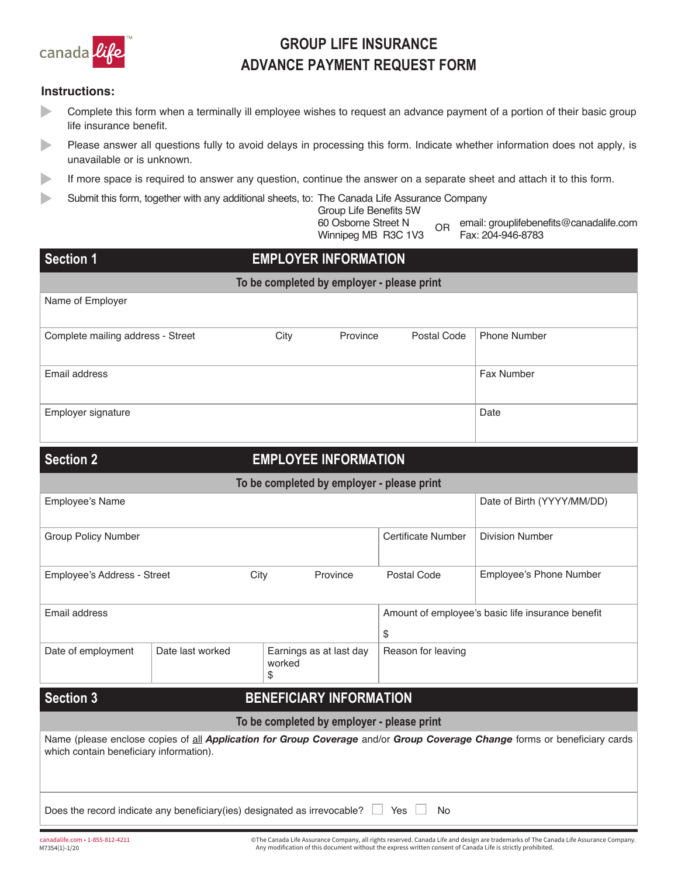

# **GROUP LIFE INSURANCE ADVANCE PAYMENT REQUEST FORM**

### **Instructions:**

- ► Complete this form when a terminally ill employee wishes to request an advance payment of a portion of their basic group life insurance benefit.
- ► Please answer all questions fully to avoid delays in processing this form. Indicate whether information does not apply, is unavailable or is unknown.
- ► If more space is required to answer any question, continue the answer on a separate sheet and attach it to this form.
- ► Submit this form, together with any additional sheets, to: The Canada Life Assurance Company

| Group Life Benefits 5W |
|------------------------|
| 60 Osborne Street N    |
| Winnipeg MB R3C 1V3    |

OR email: [grouplifebenefits@canadalife.com](mailto:grouplifebenefits@canadalife.com) Fax: 204-946-8783

| <b>Section 1</b>                        |                                                                                      | <b>EMPLOYER INFORMATION</b>                |                           |                                                                                                                           |  |  |  |  |
|-----------------------------------------|--------------------------------------------------------------------------------------|--------------------------------------------|---------------------------|---------------------------------------------------------------------------------------------------------------------------|--|--|--|--|
|                                         |                                                                                      | To be completed by employer - please print |                           |                                                                                                                           |  |  |  |  |
| Name of Employer                        |                                                                                      |                                            |                           |                                                                                                                           |  |  |  |  |
| Complete mailing address - Street       |                                                                                      | City<br>Province                           | Postal Code               | <b>Phone Number</b>                                                                                                       |  |  |  |  |
| Email address                           |                                                                                      |                                            |                           | Fax Number                                                                                                                |  |  |  |  |
| Employer signature                      |                                                                                      |                                            |                           | Date                                                                                                                      |  |  |  |  |
| <b>Section 2</b>                        |                                                                                      | <b>EMPLOYEE INFORMATION</b>                |                           |                                                                                                                           |  |  |  |  |
|                                         |                                                                                      | To be completed by employer - please print |                           |                                                                                                                           |  |  |  |  |
| Employee's Name                         |                                                                                      |                                            |                           | Date of Birth (YYYY/MM/DD)                                                                                                |  |  |  |  |
| <b>Group Policy Number</b>              |                                                                                      |                                            | <b>Certificate Number</b> | <b>Division Number</b>                                                                                                    |  |  |  |  |
| Employee's Address - Street             | City                                                                                 | Province                                   | Postal Code               | Employee's Phone Number                                                                                                   |  |  |  |  |
| Email address                           |                                                                                      |                                            | \$                        | Amount of employee's basic life insurance benefit                                                                         |  |  |  |  |
| Date of employment                      | Date last worked                                                                     | Earnings as at last day<br>worked<br>\$    | Reason for leaving        |                                                                                                                           |  |  |  |  |
| <b>Section 3</b>                        |                                                                                      | <b>BENEFICIARY INFORMATION</b>             |                           |                                                                                                                           |  |  |  |  |
|                                         |                                                                                      | To be completed by employer - please print |                           |                                                                                                                           |  |  |  |  |
| which contain beneficiary information). |                                                                                      |                                            |                           | Name (please enclose copies of all Application for Group Coverage and/or Group Coverage Change forms or beneficiary cards |  |  |  |  |
|                                         | Does the record indicate any beneficiary (ies) designated as irrevocable? $\Box$ Yes |                                            | No                        |                                                                                                                           |  |  |  |  |

©The Canada Life Assurance Company, all rights reserved. Canada Life and design are trademarks of The Canada Life Assurance Company.<br>Any modification of this document without the express written consent of Canada Life is s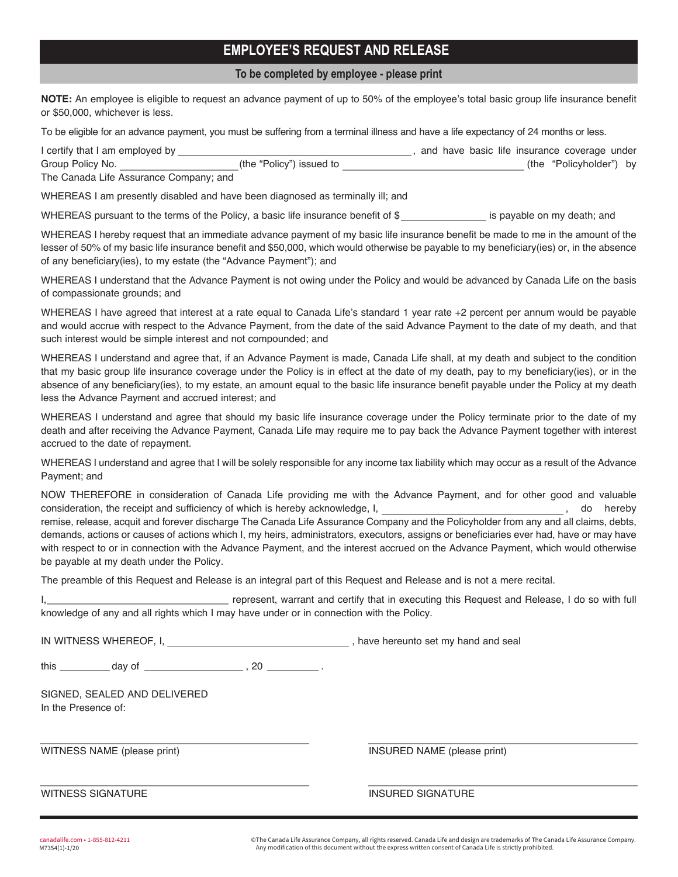### **EMPLOYEE'S REQUEST AND RELEASE**

#### To be completed by employee - please print

**NOTE:** An employee is eligible to request an advance payment of up to 50% of the employee's total basic group life insurance benefit or \$50,000, whichever is less.

To be eligible for an advance payment, you must be suffering from a terminal illness and have a life expectancy of 24 months or less.

| I certify that I am employed by        |                          |  |  | and have basic life insurance coverage under |  |
|----------------------------------------|--------------------------|--|--|----------------------------------------------|--|
| Group Policy No.                       | (the "Policy") issued to |  |  | (the "Policyholder") by                      |  |
| The Canada Life Assurance Company; and |                          |  |  |                                              |  |

WHEREAS I am presently disabled and have been diagnosed as terminally ill; and

WHEREAS pursuant to the terms of the Policy, a basic life insurance benefit of \$ is payable on my death; and

WHEREAS I hereby request that an immediate advance payment of my basic life insurance benefit be made to me in the amount of the lesser of 50% of my basic life insurance benefit and \$50,000, which would otherwise be payable to my beneficiary(ies) or, in the absence of any beneficiary(ies), to my estate (the "Advance Payment"); and

WHEREAS I understand that the Advance Payment is not owing under the Policy and would be advanced by Canada Life on the basis of compassionate grounds; and

WHEREAS I have agreed that interest at a rate equal to Canada Life's standard 1 year rate +2 percent per annum would be payable and would accrue with respect to the Advance Payment, from the date of the said Advance Payment to the date of my death, and that such interest would be simple interest and not compounded; and

WHEREAS I understand and agree that, if an Advance Payment is made, Canada Life shall, at my death and subject to the condition that my basic group life insurance coverage under the Policy is in effect at the date of my death, pay to my beneficiary(ies), or in the absence of any beneficiary(ies), to my estate, an amount equal to the basic life insurance benefit payable under the Policy at my death less the Advance Payment and accrued interest; and

WHEREAS I understand and agree that should my basic life insurance coverage under the Policy terminate prior to the date of my death and after receiving the Advance Payment, Canada Life may require me to pay back the Advance Payment together with interest accrued to the date of repayment.

WHEREAS I understand and agree that I will be solely responsible for any income tax liability which may occur as a result of the Advance Payment; and

NOW THEREFORE in consideration of Canada Life providing me with the Advance Payment, and for other good and valuable consideration, the receipt and sufficiency of which is hereby acknowledge, I, and the state of the hereby acknowledge, I, and the state of the hereby acknowledge, I, and the state of the state of the state of the state of remise, release, acquit and forever discharge The Canada Life Assurance Company and the Policyholder from any and all claims, debts, demands, actions or causes of actions which I, my heirs, administrators, executors, assigns or beneficiaries ever had, have or may have with respect to or in connection with the Advance Payment, and the interest accrued on the Advance Payment, which would otherwise be payable at my death under the Policy.

The preamble of this Request and Release is an integral part of this Request and Release and is not a mere recital.

I, **represent, warrant and certify that in executing this Request and Release, I do so with full** knowledge of any and all rights which I may have under or in connection with the Policy.

IN WITNESS WHEREOF, I, have hereunto set my hand and seal

this day of , 20

SIGNED, SEALED AND DELIVERED In the Presence of:

WITNESS NAME (please print) **INSURED NAME (please print)** INSURED NAME (please print)

WITNESS SIGNATURE **INSURED SIGNATURE** 

canadalife.com • 1-855-812-4211 © The Canada Life Assurance Company, all rights reserved. Canada Life and design are trademarks of The Canada Life Assurance Company. Any modification of this document without the express written consent of Canada Life is strictly prohibited.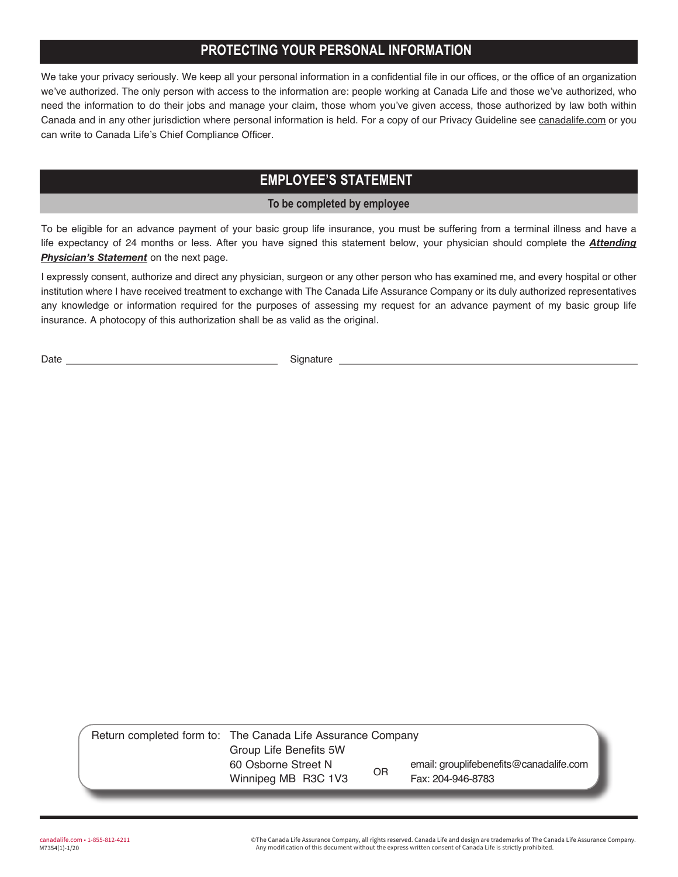## **PROTECTING YOUR PERSONAL INFORMATION**

We take your privacy seriously. We keep all your personal information in a confidential file in our offices, or the office of an organization we've authorized. The only person with access to the information are: people working at Canada Life and those we've authorized, who need the information to do their jobs and manage your claim, those whom you've given access, those authorized by law both within Canada and in any other jurisdiction where personal information is held. For a copy of our Privacy Guideline see [canadalife.com](http://canadalife.com) or you can write to Canada Life's Chief Compliance Officer.

### **EMPLOYEE'S STATEMENT**

**To be completed by employee**

To be eligible for an advance payment of your basic group life insurance, you must be suffering from a terminal illness and have a life expectancy of 24 months or less. After you have signed this statement below, your physician should complete the *Attending Physician's Statement* on the next page.

I expressly consent, authorize and direct any physician, surgeon or any other person who has examined me, and every hospital or other institution where I have received treatment to exchange with The Canada Life Assurance Company or its duly authorized representatives any knowledge or information required for the purposes of assessing my request for an advance payment of my basic group life insurance. A photocopy of this authorization shall be as valid as the original.

Date Signature Signature

| Return completed form to: The Canada Life Assurance Company |           |                                         |  |  |
|-------------------------------------------------------------|-----------|-----------------------------------------|--|--|
| Group Life Benefits 5W                                      |           |                                         |  |  |
| 60 Osborne Street N                                         | <b>OR</b> | email: grouplifebenefits@canadalife.com |  |  |
| Winnipeg MB R3C 1V3                                         |           | Fax: 204-946-8783                       |  |  |

canadalife.com • 1-855-812-4211 © The Canada Life Assurance Company, all rights reserved. Canada Life and design are trademarks of The Canada Life Assurance Company. Any modification of this document without the express written consent of Canada Life is strictly prohibited.